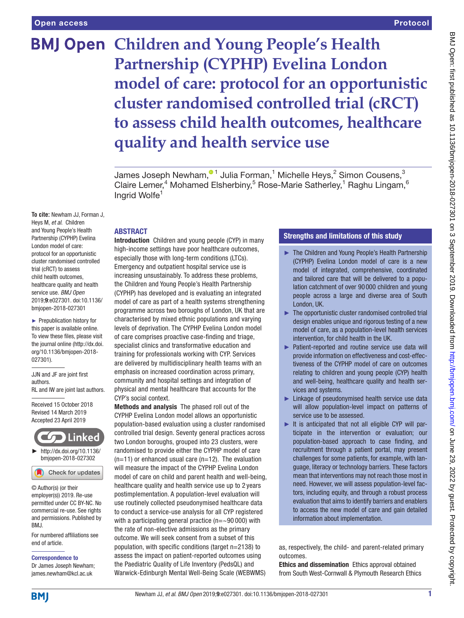# Protocol

# **BMJ Open Children and Young People's Health Partnership (CYPHP) Evelina London model of care: protocol for an opportunistic cluster randomised controlled trial (cRCT) to assess child health outcomes, healthcare quality and health service use**

JamesJoseph Newham, $^{\text{\textregistered 1}}$  Julia Forman, $^1$  Michelle Heys, $^2$  Simon Cousens, $^3$ Claire Lemer,<sup>4</sup> Mohamed Elsherbiny,<sup>5</sup> Rose-Marie Satherley,<sup>1</sup> Raghu Lingam,<sup>6</sup> Ingrid Wolfe<sup>1</sup>

**To cite:** Newham JJ, Forman J, Heys M, *et al*. Children and Young People's Health Partnership (CYPHP) Evelina London model of care: protocol for an opportunistic cluster randomised controlled trial (cRCT) to assess child health outcomes, healthcare quality and health service use. *BMJ Open* 2019;9:e027301. doi:10.1136/ bmjopen-2018-027301

**ABSTRACT** 

► Prepublication history for this paper is available online. To view these files, please visit the journal online (http://dx.doi. org/10.1136/bmjopen-2018- 027301).

JJN and JF are joint first authors. RL and IW are joint last authors.

Received 15 October 2018 Revised 14 March 2019 Accepted 23 April 2019



Check for updates

© Author(s) (or their employer(s)) 2019. Re-use permitted under CC BY-NC. No commercial re-use. See rights and permissions. Published by BMJ.

For numbered affiliations see end of article.

# Correspondence to

Dr James Joseph Newham; james.newham@kcl.ac.uk

Introduction Children and young people (CYP) in many high-income settings have poor healthcare outcomes, especially those with long-term conditions (LTCs). Emergency and outpatient hospital service use is increasing unsustainably. To address these problems, the Children and Young People's Health Partnership (CYPHP) has developed and is evaluating an integrated model of care as part of a health systems strengthening programme across two boroughs of London, UK that are characterised by mixed ethnic populations and varying levels of deprivation. The CYPHP Evelina London model of care comprises proactive case-finding and triage, specialist clinics and transformative education and training for professionals working with CYP. Services are delivered by multidisciplinary health teams with an emphasis on increased coordination across primary, community and hospital settings and integration of physical and mental healthcare that accounts for the CYP's social context.

Methods and analysis The phased roll out of the CYPHP Evelina London model allows an opportunistic population-based evaluation using a cluster randomised controlled trial design. Seventy general practices across two London boroughs, grouped into 23 clusters, were randomised to provide either the CYPHP model of care  $(n=11)$  or enhanced usual care  $(n=12)$ . The evaluation will measure the impact of the CYPHP Evelina London model of care on child and parent health and well-being, healthcare quality and health service use up to 2 years postimplementation. A population-level evaluation will use routinely collected pseudonymised healthcare data to conduct a service-use analysis for all CYP registered with a participating general practice ( $n = -90000$ ) with the rate of non-elective admissions as the primary outcome. We will seek consent from a subset of this population, with specific conditions (target n=2138) to assess the impact on patient-reported outcomes using the Paediatric Quality of Life Inventory (PedsQL) and Warwick-Edinburgh Mental Well-Being Scale (WEBWMS)

# Strengths and limitations of this study

- ► The Children and Young People's Health Partnership (CYPHP) Evelina London model of care is a new model of integrated, comprehensive, coordinated and tailored care that will be delivered to a population catchment of over 90 000 children and young people across a large and diverse area of South London, UK.
- $\blacktriangleright$  The opportunistic cluster randomised controlled trial design enables unique and rigorous testing of a new model of care, as a population-level health services intervention, for child health in the UK.
- ► Patient-reported and routine service use data will provide information on effectiveness and cost-effectiveness of the CYPHP model of care on outcomes relating to children and young people (CYP) health and well-being, healthcare quality and health services and systems.
- ► Linkage of pseudonymised health service use data will allow population-level impact on patterns of service use to be assessed.
- ► It is anticipated that not all eligible CYP will participate in the intervention or evaluation; our population-based approach to case finding, and recruitment through a patient portal, may present challenges for some patients, for example, with language, literacy or technology barriers. These factors mean that interventions may not reach those most in need. However, we will assess population-level factors, including equity, and through a robust process evaluation that aims to identify barriers and enablers to access the new model of care and gain detailed information about implementation.

as, respectively, the child- and parent-related primary outcomes.

Ethics and dissemination Ethics approval obtained from South West-Cornwall & Plymouth Research Ethics

**BMI**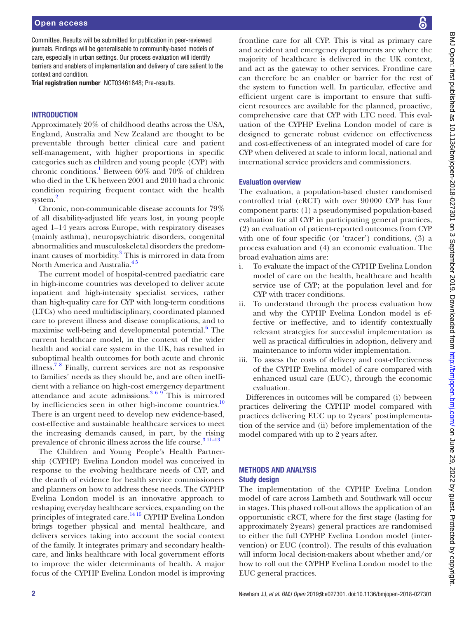Committee. Results will be submitted for publication in peer-reviewed journals. Findings will be generalisable to community-based models of care, especially in urban settings. Our process evaluation will identify barriers and enablers of implementation and delivery of care salient to the context and condition.

Trial registration number [NCT03461848;](NCT03461848) Pre-results.

# **INTRODUCTION**

Approximately 20% of childhood deaths across the USA, England, Australia and New Zealand are thought to be preventable through better clinical care and patient self-management, with higher proportions in specific categories such as children and young people (CYP) with chronic conditions.<sup>1</sup> Between 60% and 70% of children who died in the UK between 2001 and 2010 had a chronic condition requiring frequent contact with the health system.<sup>2</sup>

Chronic, non-communicable disease accounts for 79% of all disability-adjusted life years lost, in young people aged 1–14 years across Europe, with respiratory diseases (mainly asthma), neuropsychiatric disorders, congenital abnormalities and musculoskeletal disorders the predom-inant causes of morbidity.<sup>[3](#page-12-2)</sup> This is mirrored in data from North America and Australia.<sup>45</sup>

The current model of hospital‐centred paediatric care in high-income countries was developed to deliver acute inpatient and high-intensity specialist services, rather than high-quality care for CYP with long-term conditions (LTCs) who need multidisciplinary, coordinated planned care to prevent illness and disease complications, and to maximise well-being and developmental potential.<sup>[6](#page-12-4)</sup> The current healthcare model, in the context of the wider health and social care system in the UK, has resulted in suboptimal health outcomes for both acute and chronic illness.[7 8](#page-12-5) Finally, current services are not as responsive to families' needs as they should be, and are often inefficient with a reliance on high‐cost emergency department attendance and acute admissions.<sup>[3 6 9](#page-12-2)</sup> This is mirrored by inefficiencies seen in other high-income countries.<sup>10</sup> There is an urgent need to develop new evidence-based, cost-effective and sustainable healthcare services to meet the increasing demands caused, in part, by the rising prevalence of chronic illness across the life course.<sup>3 11-13</sup>

The Children and Young People's Health Partnership (CYPHP) Evelina London model was conceived in response to the evolving healthcare needs of CYP, and the dearth of evidence for health service commissioners and planners on how to address these needs. The CYPHP Evelina London model is an innovative approach to reshaping everyday healthcare services, expanding on the principles of integrated care.<sup>1415</sup> CYPHP Evelina London brings together physical and mental healthcare, and delivers services taking into account the social context of the family. It integrates primary and secondary healthcare, and links healthcare with local government efforts to improve the wider determinants of health. A major focus of the CYPHP Evelina London model is improving

frontline care for all CYP. This is vital as primary care and accident and emergency departments are where the majority of healthcare is delivered in the UK context, and act as the gateway to other services. Frontline care can therefore be an enabler or barrier for the rest of the system to function well. In particular, effective and efficient urgent care is important to ensure that sufficient resources are available for the planned, proactive, comprehensive care that CYP with LTC need. This evaluation of the CYPHP Evelina London model of care is designed to generate robust evidence on effectiveness and cost-effectiveness of an integrated model of care for CYP when delivered at scale to inform local, national and international service providers and commissioners.

# Evaluation overview

The evaluation, a population-based cluster randomised controlled trial (cRCT) with over 90000 CYP has four component parts: (1) a pseudonymised population-based evaluation for all CYP in participating general practices, (2) an evaluation of patient-reported outcomes from CYP with one of four specific (or 'tracer') conditions, (3) a process evaluation and (4) an economic evaluation. The broad evaluation aims are:

- i. To evaluate the impact of the CYPHP Evelina London model of care on the health, healthcare and health service use of CYP; at the population level and for CYP with tracer conditions.
- ii. To understand through the process evaluation how and why the CYPHP Evelina London model is effective or ineffective, and to identify contextually relevant strategies for successful implementation as well as practical difficulties in adoption, delivery and maintenance to inform wider implementation.
- iii. To assess the costs of delivery and cost-effectiveness of the CYPHP Evelina model of care compared with enhanced usual care (EUC), through the economic evaluation.

Differences in outcomes will be compared (i) between practices delivering the CYPHP model compared with practices delivering EUC up to 2years' postimplementation of the service and (ii) before implementation of the model compared with up to 2 years after.

## Methods and analysis Study design

The implementation of the CYPHP Evelina London model of care across Lambeth and Southwark will occur in stages. This phased roll-out allows the application of an opportunistic cRCT, where for the first stage (lasting for approximately 2years) general practices are randomised to either the full CYPHP Evelina London model (intervention) or EUC (control). The results of this evaluation will inform local decision-makers about whether and/or how to roll out the CYPHP Evelina London model to the EUC general practices.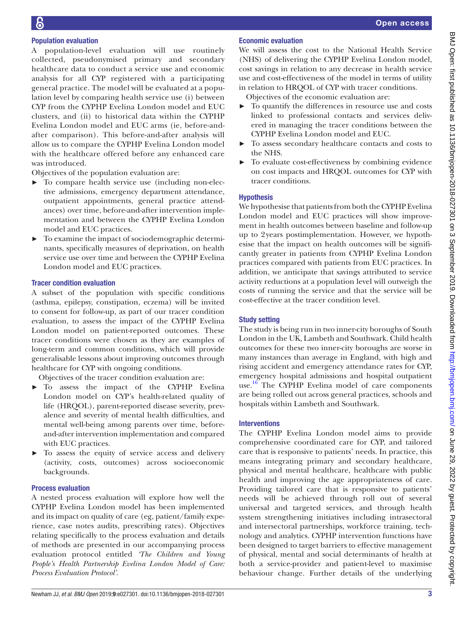# Population evaluation

A population-level evaluation will use routinely collected, pseudonymised primary and secondary healthcare data to conduct a service use and economic analysis for all CYP registered with a participating general practice. The model will be evaluated at a population level by comparing health service use (i) between CYP from the CYPHP Evelina London model and EUC clusters, and (ii) to historical data within the CYPHP Evelina London model and EUC arms (ie, before-andafter comparison). This before-and-after analysis will allow us to compare the CYPHP Evelina London model with the healthcare offered before any enhanced care was introduced.

Objectives of the population evaluation are:

- ► To compare health service use (including non-elective admissions, emergency department attendance, outpatient appointments, general practice attendances) over time, before-and-after intervention implementation and between the CYPHP Evelina London model and EUC practices.
- ► To examine the impact of sociodemographic determinants, specifically measures of deprivation, on health service use over time and between the CYPHP Evelina London model and EUC practices.

# Tracer condition evaluation

A subset of the population with specific conditions (asthma, epilepsy, constipation, eczema) will be invited to consent for follow-up, as part of our tracer condition evaluation, to assess the impact of the CYPHP Evelina London model on patient-reported outcomes. These tracer conditions were chosen as they are examples of long-term and common conditions, which will provide generalisable lessons about improving outcomes through healthcare for CYP with ongoing conditions.

Objectives of the tracer condition evaluation are:

- ► To assess the impact of the CYPHP Evelina London model on CYP's health-related quality of life (HRQOL), parent-reported disease severity, prevalence and severity of mental health difficulties, and mental well-being among parents over time, beforeand-after intervention implementation and compared with EUC practices.
- ► To assess the equity of service access and delivery (activity, costs, outcomes) across socioeconomic backgrounds.

# Process evaluation

A nested process evaluation will explore how well the CYPHP Evelina London model has been implemented and its impact on quality of care (eg, patient/family experience, case notes audits, prescribing rates). Objectives relating specifically to the process evaluation and details of methods are presented in our accompanying process evaluation protocol entitled *'The Children and Young People's Health Partnership Evelina London Model of Care: Process Evaluation Protocol'*.

# Economic evaluation

We will assess the cost to the National Health Service (NHS) of delivering the CYPHP Evelina London model, cost savings in relation to any decrease in health service use and cost-effectiveness of the model in terms of utility in relation to HRQOL of CYP with tracer conditions.

Objectives of the economic evaluation are:

- ► To quantify the differences in resource use and costs linked to professional contacts and services delivered in managing the tracer conditions between the CYPHP Evelina London model and EUC.
- ► To assess secondary healthcare contacts and costs to the NHS.
- To evaluate cost-effectiveness by combining evidence on cost impacts and HRQOL outcomes for CYP with tracer conditions.

# **Hypothesis**

We hypothesise that patients from both the CYPHP Evelina London model and EUC practices will show improvement in health outcomes between baseline and follow-up up to 2years postimplementation. However, we hypothesise that the impact on health outcomes will be significantly greater in patients from CYPHP Evelina London practices compared with patients from EUC practices. In addition, we anticipate that savings attributed to service activity reductions at a population level will outweigh the costs of running the service and that the service will be cost-effective at the tracer condition level.

# Study setting

The study is being run in two inner-city boroughs of South London in the UK, Lambeth and Southwark. Child health outcomes for these two inner-city boroughs are worse in many instances than average in England, with high and rising accident and emergency attendance rates for CYP, emergency hospital admissions and hospital outpatient use.<sup>16</sup> The CYPHP Evelina model of care components are being rolled out across general practices, schools and hospitals within Lambeth and Southwark.

# **Interventions**

The CYPHP Evelina London model aims to provide comprehensive coordinated care for CYP, and tailored care that is responsive to patients' needs. In practice, this means integrating primary and secondary healthcare, physical and mental healthcare, healthcare with public health and improving the age appropriateness of care. Providing tailored care that is responsive to patients' needs will be achieved through roll out of several universal and targeted services, and through health system strengthening initiatives including intrasectoral and intersectoral partnerships, workforce training, technology and analytics. CYPHP intervention functions have been designed to target barriers to effective management of physical, mental and social determinants of health at both a service-provider and patient-level to maximise behaviour change. Further details of the underlying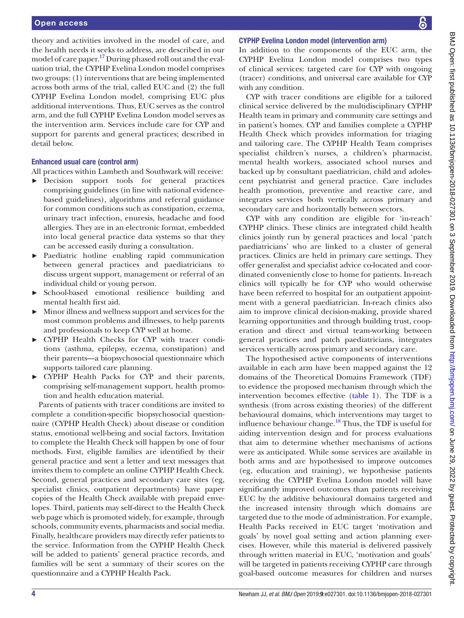theory and activities involved in the model of care, and the health needs it seeks to address, are described in our model of care paper.<sup>17</sup> During phased roll out and the evaluation trial, the CYPHP Evelina London model comprises two groups: (1) interventions that are being implemented across both arms of the trial, called EUC and (2) the full CYPHP Evelina London model, comprising EUC plus additional interventions. Thus, EUC serves as the control arm, and the full CYPHP Evelina London model serves as the intervention arm. Services include care for CYP and support for parents and general practices; described in detail below.

## Enhanced usual care (control arm)

All practices within Lambeth and Southwark will receive:

- ► Decision support tools for general practices comprising guidelines (in line with national evidencebased guidelines), algorithms and referral guidance for common conditions such as constipation, eczema, urinary tract infection, enuresis, headache and food allergies. They are in an electronic format, embedded into local general practice data systems so that they can be accessed easily during a consultation.
- ► Paediatric hotline enabling rapid communication between general practices and paediatricians to discuss urgent support, management or referral of an individual child or young person.
- ► School-based emotional resilience building and mental health first aid.
- ► Minor illness and wellness support and services for the most common problems and illnesses, to help parents and professionals to keep CYP well at home.
- ► CYPHP Health Checks for CYP with tracer conditions (asthma, epilepsy, eczema, constipation) and their parents—a biopsychosocial questionnaire which supports tailored care planning.
- ► CYPHP Health Packs for CYP and their parents, comprising self-management support, health promotion and health education material.

Parents of patients with tracer conditions are invited to complete a condition-specific biopsychosocial questionnaire (CYPHP Health Check) about disease or condition status, emotional well-being and social factors. Invitation to complete the Health Check will happen by one of four methods. First, eligible families are identified by their general practice and sent a letter and text messages that invites them to complete an online CYPHP Health Check. Second, general practices and secondary care sites (eg, specialist clinics, outpatient departments) have paper copies of the Health Check available with prepaid envelopes. Third, patients may self-direct to the Health Check web page which is promoted widely, for example, through schools, community events, pharmacists and social media. Finally, healthcare providers may directly refer patients to the service. Information from the CYPHP Health Check will be added to patients' general practice records, and families will be sent a summary of their scores on the questionnaire and a CYPHP Health Pack.

## CYPHP Evelina London model (intervention arm)

In addition to the components of the EUC arm, the CYPHP Evelina London model comprises two types of clinical services: targeted care for CYP with ongoing (tracer) conditions, and universal care available for CYP with any condition.

CYP with tracer conditions are eligible for a tailored clinical service delivered by the multidisciplinary CYPHP Health team in primary and community care settings and in patient's homes. CYP and families complete a CYPHP Health Check which provides information for triaging and tailoring care. The CYPHP Health Team comprises specialist children's nurses, a children's pharmacist, mental health workers, associated school nurses and backed up by consultant paediatrician, child and adolescent psychiatrist and general practice. Care includes health promotion, preventive and reactive care, and integrates services both vertically across primary and secondary care and horizontally between sectors.

CYP with any condition are eligible for 'in-reach' CYPHP clinics. These clinics are integrated child health clinics jointly run by general practices and local 'patch paediatricians' who are linked to a cluster of general practices. Clinics are held in primary care settings. They offer generalist and specialist advice co-located and coordinated conveniently close to home for patients. In-reach clinics will typically be for CYP who would otherwise have been referred to hospital for an outpatient appointment with a general paediatrician. In-reach clinics also aim to improve clinical decision-making, provide shared learning opportunities and through building trust, cooperation and direct and virtual team-working between general practices and patch paediatricians, integrates services vertically across primary and secondary care.

The hypothesised active components of interventions available in each arm have been mapped against the 12 domains of the Theoretical Domains Framework (TDF) to evidence the proposed mechanism through which the intervention becomes effective [\(table](#page-4-0) 1). The TDF is a synthesis (from across existing theories) of the different behavioural domains, which interventions may target to influence behaviour change.[18](#page-12-10) Thus, the TDF is useful for aiding intervention design and for process evaluations that aim to determine whether mechanisms of actions were as anticipated. While some services are available in both arms and are hypothesised to improve outcomes (eg, education and training), we hypothesise patients receiving the CYPHP Evelina London model will have significantly improved outcomes than patients receiving EUC by the additive behavioural domains targeted and the increased intensity through which domains are targeted due to the mode of administration. For example, Health Packs received in EUC target 'motivation and goals' by novel goal setting and action planning exercises. However, while this material is delivered passively through written material in EUC, 'motivation and goals' will be targeted in patients receiving CYPHP care through goal-based outcome measures for children and nurses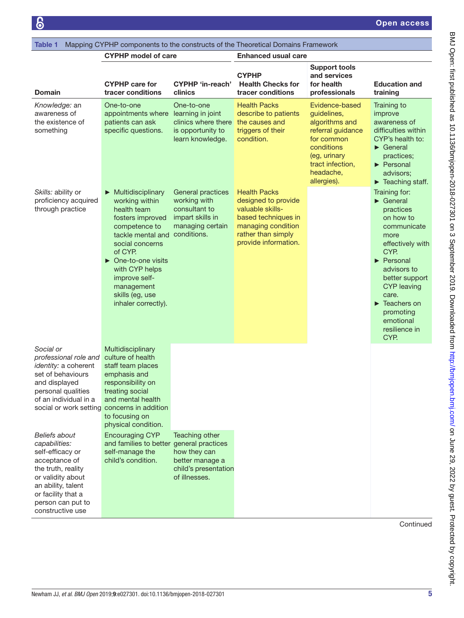<span id="page-4-0"></span>

| <b>Table 1</b><br>Mapping CYPHP components to the constructs of the Theoretical Domains Framework                                                                                                                                      |                                                                                                                                                                                                                                                                                                               |                                                                                                 |                                                                                                                                                           |                                                                                                                                                                  |                                                                                                                                                                                                                                                                                                                       |
|----------------------------------------------------------------------------------------------------------------------------------------------------------------------------------------------------------------------------------------|---------------------------------------------------------------------------------------------------------------------------------------------------------------------------------------------------------------------------------------------------------------------------------------------------------------|-------------------------------------------------------------------------------------------------|-----------------------------------------------------------------------------------------------------------------------------------------------------------|------------------------------------------------------------------------------------------------------------------------------------------------------------------|-----------------------------------------------------------------------------------------------------------------------------------------------------------------------------------------------------------------------------------------------------------------------------------------------------------------------|
|                                                                                                                                                                                                                                        | <b>CYPHP</b> model of care                                                                                                                                                                                                                                                                                    |                                                                                                 | <b>Enhanced usual care</b>                                                                                                                                |                                                                                                                                                                  |                                                                                                                                                                                                                                                                                                                       |
| <b>Domain</b>                                                                                                                                                                                                                          | <b>CYPHP</b> care for<br>tracer conditions                                                                                                                                                                                                                                                                    | <b>CYPHP</b> 'in-reach'<br>clinics                                                              | <b>CYPHP</b><br><b>Health Checks for</b><br>tracer conditions                                                                                             | <b>Support tools</b><br>and services<br>for health<br>professionals                                                                                              | <b>Education and</b><br>training                                                                                                                                                                                                                                                                                      |
| Knowledge: an<br>awareness of<br>the existence of<br>something                                                                                                                                                                         | One-to-one<br>appointments where<br>patients can ask<br>specific questions.                                                                                                                                                                                                                                   | One-to-one<br>learning in joint<br>clinics where there<br>is opportunity to<br>learn knowledge. | <b>Health Packs</b><br>describe to patients<br>the causes and<br>triggers of their<br>condition.                                                          | Evidence-based<br>guidelines,<br>algorithms and<br>referral guidance<br>for common<br>conditions<br>(eg, urinary<br>tract infection,<br>headache,<br>allergies). | Training to<br>improve<br>awareness of<br>difficulties within<br>CYP's health to:<br>$\blacktriangleright$ General<br>practices;<br>▶ Personal<br>advisors;<br>$\blacktriangleright$ Teaching staff.                                                                                                                  |
| Skills: ability or<br>proficiency acquired<br>through practice                                                                                                                                                                         | $\blacktriangleright$ Multidisciplinary<br>working within<br>health team<br>fosters improved<br>competence to<br>tackle mental and conditions.<br>social concerns<br>of CYP.<br>$\triangleright$ One-to-one visits<br>with CYP helps<br>improve self-<br>management<br>skills (eg, use<br>inhaler correctly). | General practices<br>working with<br>consultant to<br>impart skills in<br>managing certain      | <b>Health Packs</b><br>designed to provide<br>valuable skills-<br>based techniques in<br>managing condition<br>rather than simply<br>provide information. |                                                                                                                                                                  | Training for:<br>$\blacktriangleright$ General<br>practices<br>on how to<br>communicate<br>more<br>effectively with<br>CYP.<br>$\blacktriangleright$ Personal<br>advisors to<br>better support<br><b>CYP</b> leaving<br>care.<br>$\blacktriangleright$ Teachers on<br>promoting<br>emotional<br>resilience in<br>CYP. |
| Social or<br>professional role and<br><i>identity: a coherent</i><br>set of behaviours<br>and displayed<br>personal qualities<br>of an individual in a<br>social or work setting<br>Beliefs about<br>capabilities:<br>self-efficacy or | Multidisciplinary<br>culture of health<br>staff team places<br>emphasis and<br>responsibility on<br>treating social<br>and mental health<br>concerns in addition<br>to focusing on<br>physical condition.<br><b>Encouraging CYP</b><br>and families to better general practices<br>self-manage the            | Teaching other<br>how they can                                                                  |                                                                                                                                                           |                                                                                                                                                                  |                                                                                                                                                                                                                                                                                                                       |
| acceptance of<br>the truth, reality<br>or validity about<br>an ability, talent<br>or facility that a<br>person can put to<br>constructive use                                                                                          | child's condition.                                                                                                                                                                                                                                                                                            | better manage a<br>child's presentation<br>of illnesses.                                        |                                                                                                                                                           |                                                                                                                                                                  |                                                                                                                                                                                                                                                                                                                       |

Continued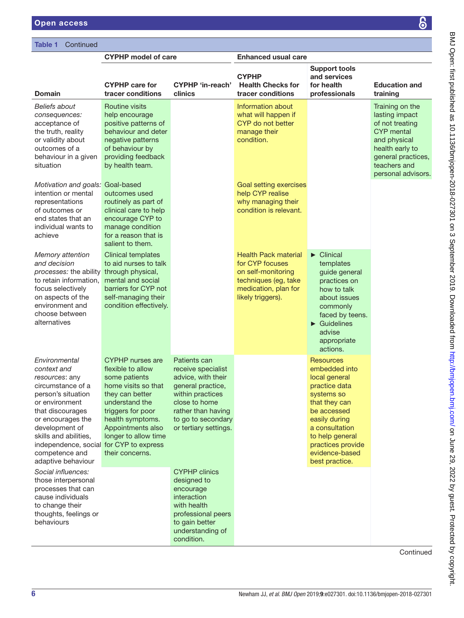| Table 1<br>Continued                                                                                                                                                                                                                                                               |                                                                                                                                                                                                                             |                                                                                                                                                                                         |                                                                                                                                           |                                                                                                                                                                                                                                  |                                                                                                                                                                          |
|------------------------------------------------------------------------------------------------------------------------------------------------------------------------------------------------------------------------------------------------------------------------------------|-----------------------------------------------------------------------------------------------------------------------------------------------------------------------------------------------------------------------------|-----------------------------------------------------------------------------------------------------------------------------------------------------------------------------------------|-------------------------------------------------------------------------------------------------------------------------------------------|----------------------------------------------------------------------------------------------------------------------------------------------------------------------------------------------------------------------------------|--------------------------------------------------------------------------------------------------------------------------------------------------------------------------|
|                                                                                                                                                                                                                                                                                    | <b>CYPHP</b> model of care                                                                                                                                                                                                  |                                                                                                                                                                                         | <b>Enhanced usual care</b>                                                                                                                |                                                                                                                                                                                                                                  |                                                                                                                                                                          |
| <b>Domain</b>                                                                                                                                                                                                                                                                      | <b>CYPHP</b> care for<br>tracer conditions                                                                                                                                                                                  | <b>CYPHP 'in-reach'</b><br>clinics                                                                                                                                                      | <b>CYPHP</b><br><b>Health Checks for</b><br>tracer conditions                                                                             | <b>Support tools</b><br>and services<br>for health<br>professionals                                                                                                                                                              | <b>Education and</b><br>training                                                                                                                                         |
| Beliefs about<br>consequences:<br>acceptance of<br>the truth, reality<br>or validity about<br>outcomes of a<br>behaviour in a given<br>situation                                                                                                                                   | <b>Routine visits</b><br>help encourage<br>positive patterns of<br>behaviour and deter<br>negative patterns<br>of behaviour by<br>providing feedback<br>by health team.                                                     |                                                                                                                                                                                         | Information about<br>what will happen if<br>CYP do not better<br>manage their<br>condition.                                               |                                                                                                                                                                                                                                  | Training on the<br>lasting impact<br>of not treating<br><b>CYP</b> mental<br>and physical<br>health early to<br>general practices,<br>teachers and<br>personal advisors. |
| Motivation and goals: Goal-based<br>intention or mental<br>representations<br>of outcomes or<br>end states that an<br>individual wants to<br>achieve                                                                                                                               | outcomes used<br>routinely as part of<br>clinical care to help<br>encourage CYP to<br>manage condition<br>for a reason that is<br>salient to them.                                                                          |                                                                                                                                                                                         | <b>Goal setting exercises</b><br>help CYP realise<br>why managing their<br>condition is relevant.                                         |                                                                                                                                                                                                                                  |                                                                                                                                                                          |
| <b>Memory attention</b><br>and decision<br>processes: the ability<br>to retain information,<br>focus selectively<br>on aspects of the<br>environment and<br>choose between<br>alternatives                                                                                         | <b>Clinical templates</b><br>to aid nurses to talk<br>through physical,<br>mental and social<br>barriers for CYP not<br>self-managing their<br>condition effectively.                                                       |                                                                                                                                                                                         | <b>Health Pack material</b><br>for CYP focuses<br>on self-monitoring<br>techniques (eg, take<br>medication, plan for<br>likely triggers). | $\blacktriangleright$ Clinical<br>templates<br>guide general<br>practices on<br>how to talk<br>about issues<br>commonly<br>faced by teens.<br>$\blacktriangleright$ Guidelines<br>advise<br>appropriate<br>actions.              |                                                                                                                                                                          |
| Environmental<br>context and<br>resources: any<br>circumstance of a<br>person's situation<br>or environment<br>that discourages<br>or encourages the<br>development of<br>skills and abilities,<br>independence, social for CYP to express<br>competence and<br>adaptive behaviour | CYPHP nurses are<br>flexible to allow<br>some patients<br>home visits so that<br>they can better<br>understand the<br>triggers for poor<br>health symptoms.<br>Appointments also<br>longer to allow time<br>their concerns. | Patients can<br>receive specialist<br>advice, with their<br>general practice,<br>within practices<br>close to home<br>rather than having<br>to go to secondary<br>or tertiary settings. |                                                                                                                                           | <b>Resources</b><br>embedded into<br>local general<br>practice data<br>systems so<br>that they can<br>be accessed<br>easily during<br>a consultation<br>to help general<br>practices provide<br>evidence-based<br>best practice. |                                                                                                                                                                          |
| Social influences:<br>those interpersonal<br>processes that can<br>cause individuals<br>to change their<br>thoughts, feelings or<br>behaviours                                                                                                                                     |                                                                                                                                                                                                                             | <b>CYPHP</b> clinics<br>designed to<br>encourage<br>interaction<br>with health<br>professional peers<br>to gain better<br>understanding of<br>condition.                                |                                                                                                                                           |                                                                                                                                                                                                                                  | Continued                                                                                                                                                                |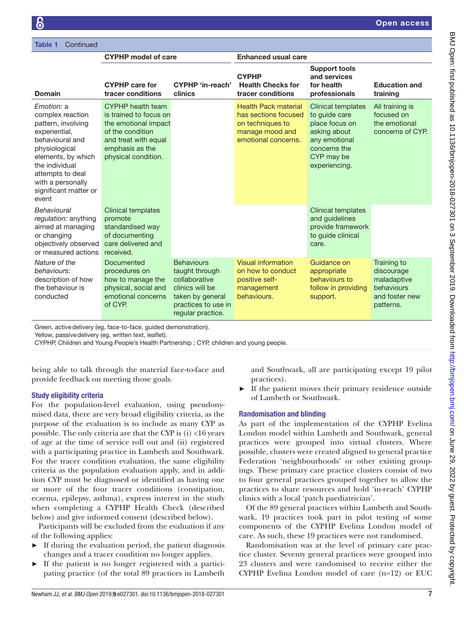| Table 1 | Continued |
|---------|-----------|
|         |           |

|                                                                                                                                                                                                                              | <b>CYPHP</b> model of care                                                                                                                                |                                                                                                                                         | <b>Enhanced usual care</b>                                                                                        |                                                                                                                                              |                                                                                       |
|------------------------------------------------------------------------------------------------------------------------------------------------------------------------------------------------------------------------------|-----------------------------------------------------------------------------------------------------------------------------------------------------------|-----------------------------------------------------------------------------------------------------------------------------------------|-------------------------------------------------------------------------------------------------------------------|----------------------------------------------------------------------------------------------------------------------------------------------|---------------------------------------------------------------------------------------|
| <b>Domain</b>                                                                                                                                                                                                                | <b>CYPHP</b> care for<br>tracer conditions                                                                                                                | CYPHP 'in-reach'<br>clinics                                                                                                             | <b>CYPHP</b><br><b>Health Checks for</b><br>tracer conditions                                                     | <b>Support tools</b><br>and services<br>for health<br>professionals                                                                          | <b>Education and</b><br>training                                                      |
| Emotion: a<br>complex reaction<br>pattern, involving<br>experiential,<br>behavioural and<br>physiological<br>elements, by which<br>the individual<br>attempts to deal<br>with a personally<br>significant matter or<br>event | CYPHP health team<br>is trained to focus on<br>the emotional impact<br>of the condition<br>and treat with equal<br>emphasis as the<br>physical condition. |                                                                                                                                         | <b>Health Pack material</b><br>has sections focused<br>on techniques to<br>manage mood and<br>emotional concerns. | <b>Clinical templates</b><br>to quide care<br>place focus on<br>asking about<br>any emotional<br>concerns the<br>CYP may be<br>experiencing. | All training is<br>focused on<br>the emotional<br>concerns of CYP.                    |
| Behavioural<br>regulation: anything<br>aimed at managing<br>or changing<br>objectively observed<br>or measured actions                                                                                                       | <b>Clinical templates</b><br>promote<br>standardised way<br>of documenting<br>care delivered and<br>received.                                             |                                                                                                                                         |                                                                                                                   | <b>Clinical templates</b><br>and guidelines<br>provide framework<br>to guide clinical<br>care.                                               |                                                                                       |
| Nature of the<br>behaviours:<br>description of how<br>the behaviour is<br>conducted                                                                                                                                          | Documented<br>procedures on<br>how to manage the<br>physical, social and<br>emotional concerns<br>of CYP.                                                 | <b>Behaviours</b><br>taught through<br>collaborative<br>clinics will be<br>taken by general<br>practices to use in<br>regular practice. | <b>Visual information</b><br>on how to conduct<br>positive self-<br>management<br>behaviours.                     | Guidance on<br>appropriate<br>behaviours to<br>follow in providing<br>support.                                                               | Training to<br>discourage<br>maladaptive<br>behaviours<br>and foster new<br>patterns. |

Green, activedelivery (eg, face-to-face, guided demonstration).

Yellow, passivedelivery (eg, written text, leaflet).

CYPHP, Children and Young People's Health Partnership ; CYP, children and young people.

being able to talk through the material face-to-face and provide feedback on meeting those goals.

# Study eligibility criteria

For the population-level evaluation, using pseudonymised data, there are very broad eligibility criteria, as the purpose of the evaluation is to include as many CYP as possible. The only criteria are that the CYP is (i) <16 years of age at the time of service roll out and (ii) registered with a participating practice in Lambeth and Southwark. For the tracer condition evaluation, the same eligibility criteria as the population evaluation apply, and in addition CYP must be diagnosed or identified as having one or more of the four tracer conditions (constipation, eczema, epilepsy, asthma), express interest in the study when completing a CYPHP Health Check (described below) and give informed consent (described below).

Participants will be excluded from the evaluation if any of the following applies:

- $\blacktriangleright$  If during the evaluation period, the patient diagnosis changes and a tracer condition no longer applies.
- If the patient is no longer registered with a participating practice (of the total 89 practices in Lambeth

and Southwark, all are participating except 19 pilot practices).

► If the patient moves their primary residence outside of Lambeth or Southwark.

## Randomisation and blinding

As part of the implementation of the CYPHP Evelina London model within Lambeth and Southwark, general practices were grouped into virtual clusters. Where possible, clusters were created aligned to general practice Federation 'neighbourhoods' or other existing groupings. These primary care practice clusters consist of two to four general practices grouped together to allow the practices to share resources and hold 'in-reach' CYPHP clinics with a local 'patch paediatrician'.

Of the 89 general practices within Lambeth and Southwark, 19 practices took part in pilot testing of some components of the CYPHP Evelina London model of care. As such, these 19 practices were not randomised.

Randomisation was at the level of primary care practice cluster. Seventy general practices were grouped into 23 clusters and were randomised to receive either the CYPHP Evelina London model of care (n=12) or EUC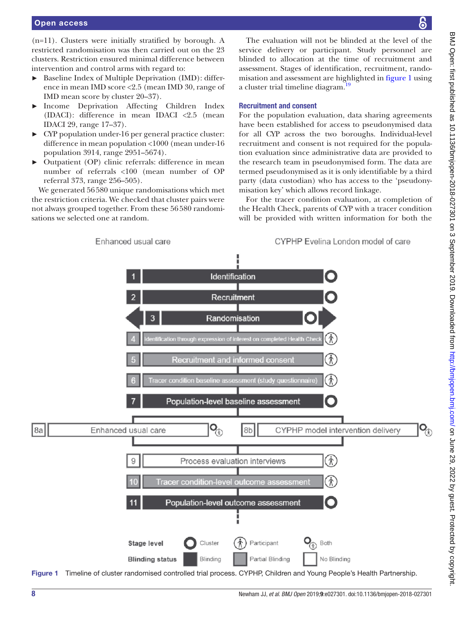(n=11). Clusters were initially stratified by borough. A restricted randomisation was then carried out on the 23 clusters. Restriction ensured minimal difference between intervention and control arms with regard to:

- ► Baseline Index of Multiple Deprivation (IMD): difference in mean IMD score <2.5 (mean IMD 30, range of IMD mean score by cluster 20–37).
- ► Income Deprivation Affecting Children Index (IDACI): difference in mean IDACI <2.5 (mean IDACI 29, range 17–37).
- ► CYP population under-16 per general practice cluster: difference in mean population <1000 (mean under-16 population 3914, range 2951–5674).
- ► Outpatient (OP) clinic referrals: difference in mean number of referrals <100 (mean number of OP referral 373, range 256–505).

We generated 56580 unique randomisations which met the restriction criteria. We checked that cluster pairs were not always grouped together. From these 56580 randomisations we selected one at random.

Enhanced usual care

The evaluation will not be blinded at the level of the service delivery or participant. Study personnel are blinded to allocation at the time of recruitment and assessment. Stages of identification, recruitment, randomisation and assessment are highlighted in [figure](#page-7-0) 1 using a cluster trial timeline diagram.<sup>19</sup>

## Recruitment and consent

For the population evaluation, data sharing agreements have been established for access to pseudonymised data for all CYP across the two boroughs. Individual-level recruitment and consent is not required for the population evaluation since administrative data are provided to the research team in pseudonymised form. The data are termed pseudonymised as it is only identifiable by a third party (data custodian) who has access to the 'pseudonymisation key' which allows record linkage.

For the tracer condition evaluation, at completion of the Health Check, parents of CYP with a tracer condition will be provided with written information for both the





<span id="page-7-0"></span>Figure 1 Timeline of cluster randomised controlled trial process. CYPHP, Children and Young People's Health Partnership.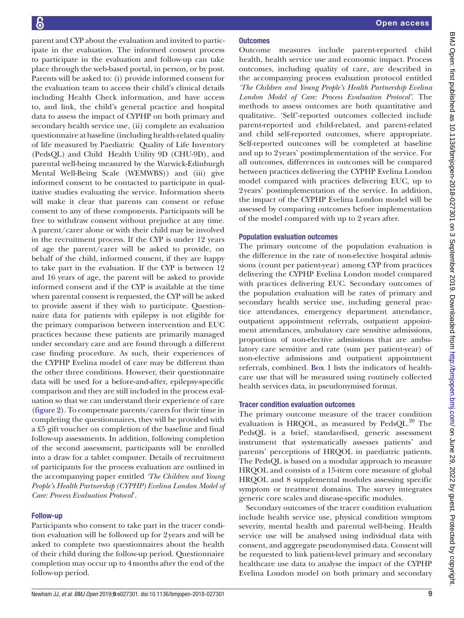parent and CYP about the evaluation and invited to participate in the evaluation. The informed consent process to participate in the evaluation and follow-up can take place through the web-based portal, in person, or by post. Parents will be asked to: (i) provide informed consent for the evaluation team to access their child's clinical details including Health Check information, and have access to, and link, the child's general practice and hospital data to assess the impact of CYPHP on both primary and secondary health service use, (ii) complete an evaluation questionnaire at baseline (including health-related quality of life measured by Paediatric Quality of Life Inventory (PedsQL) and Child Health Utility 9D (CHU-9D), and parental well-being measured by the Warwick-Edinburgh Mental Well-Being Scale (WEMWBS)) and (iii) give informed consent to be contacted to participate in qualitative studies evaluating the service. Information sheets will make it clear that parents can consent or refuse consent to any of these components. Participants will be free to withdraw consent without prejudice at any time. A parent/carer alone or with their child may be involved in the recruitment process. If the CYP is under 12 years of age the parent/carer will be asked to provide, on behalf of the child, informed consent, if they are happy to take part in the evaluation. If the CYP is between 12 and 16 years of age, the parent will be asked to provide informed consent and if the CYP is available at the time when parental consent is requested, the CYP will be asked to provide assent if they wish to participate. Questionnaire data for patients with epilepsy is not eligible for the primary comparison between intervention and EUC practices because these patients are primarily managed under secondary care and are found through a different case finding procedure. As such, their experiences of the CYPHP Evelina model of care may be different than the other three conditions. However, their questionnaire data will be used for a before-and-after, epilepsy-specific comparison and they are still included in the process evaluation so that we can understand their experience of care ([figure](#page-9-0) 2). To compensate parents/carers for their time in completing the questionnaires, they will be provided with a £5 gift voucher on completion of the baseline and final follow-up assessments. In addition, following completion of the second assessment, participants will be enrolled into a draw for a tablet computer. Details of recruitment of participants for the process evaluation are outlined in the accompanying paper entitled *'The Children and Young People's Health Partnership (CYPHP) Evelina London Model of Care: Process Evaluation Protocol*'.

# Follow-up

Participants who consent to take part in the tracer condition evaluation will be followed up for 2years and will be asked to complete two questionnaires about the health of their child during the follow-up period. Questionnaire completion may occur up to 4months after the end of the follow-up period.

Outcome measures include parent-reported child health, health service use and economic impact. Process outcomes, including quality of care, are described in the accompanying process evaluation protocol entitled *'The Children and Young People's Health Partnership Evelina London Model of Care: Process Evaluation Protocol'.* The methods to assess outcomes are both quantitative and qualitative. 'Self'-reported outcomes collected include parent-reported and child-related, and parent-related and child self-reported outcomes, where appropriate. Self-reported outcomes will be completed at baseline and up to 2years' postimplementation of the service. For all outcomes, differences in outcomes will be compared between practices delivering the CYPHP Evelina London model compared with practices delivering EUC, up to 2years' postimplementation of the service. In addition, the impact of the CYPHP Evelina London model will be assessed by comparing outcomes before implementation of the model compared with up to 2 years after.

# Population evaluation outcomes

The primary outcome of the population evaluation is the difference in the rate of non-elective hospital admissions (count per patient-year) among CYP from practices delivering the CYPHP Evelina London model compared with practices delivering EUC. Secondary outcomes of the population evaluation will be rates of primary and secondary health service use, including general practice attendances, emergency department attendance, outpatient appointment referrals, outpatient appointment attendances, ambulatory care sensitive admissions, proportion of non-elective admissions that are ambulatory care sensitive and rate (sum per patient-year) of non-elective admissions and outpatient appointment referrals, combined. [Box](#page-10-0) 1 lists the indicators of healthcare use that will be measured using routinely collected health services data, in pseudonymised format.

# Tracer condition evaluation outcomes

The primary outcome measure of the tracer condition evaluation is HRQOL, as measured by PedsQL.<sup>[20](#page-12-12)</sup> The PedsQL is a brief, standardised, generic assessment instrument that systematically assesses patients' and parents' perceptions of HRQOL in paediatric patients. The PedsQL is based on a modular approach to measure HRQOL and consists of a 15-item core measure of global HRQOL and 8 supplemental modules assessing specific symptom or treatment domains. The survey integrates generic core scales and disease-specific modules.

Secondary outcomes of the tracer condition evaluation include health service use, physical condition symptom severity, mental health and parental well-being. Health service use will be analysed using individual data with consent, and aggregate pseudonymised data. Consent will be requested to link patient-level primary and secondary healthcare use data to analyse the impact of the CYPHP Evelina London model on both primary and secondary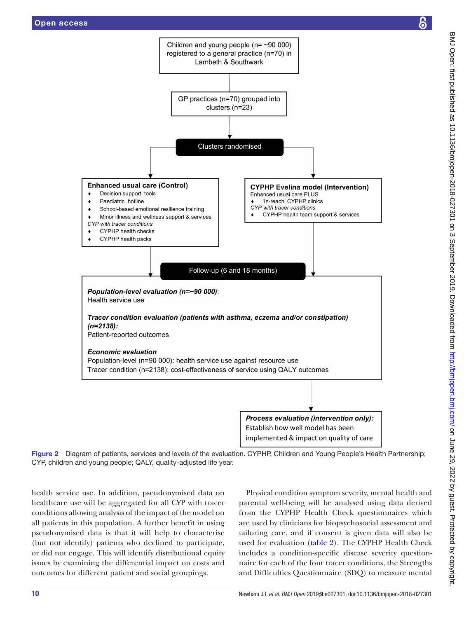

<span id="page-9-0"></span>Figure 2 Diagram of patients, services and levels of the evaluation. CYPHP, Children and Young People's Health Partnership; CYP, children and young people; QALY, quality-adjusted life year.

health service use. In addition, pseudonymised data on healthcare use will be aggregated for all CYP with tracer conditions allowing analysis of the impact of the model on all patients in this population. A further benefit in using pseudonymised data is that it will help to characterise (but not identify) patients who declined to participate, or did not engage. This will identify distributional equity issues by examining the differential impact on costs and outcomes for different patient and social groupings.

Physical condition symptom severity, mental health and parental well-being will be analysed using data derived from the CYPHP Health Check questionnaires which are used by clinicians for biopsychosocial assessment and tailoring care, and if consent is given data will also be used for evaluation ([table](#page-10-1) 2). The CYPHP Health Check includes a condition-specific disease severity questionnaire for each of the four tracer conditions, the Strengths and Difficulties Questionnaire (SDQ) to measure mental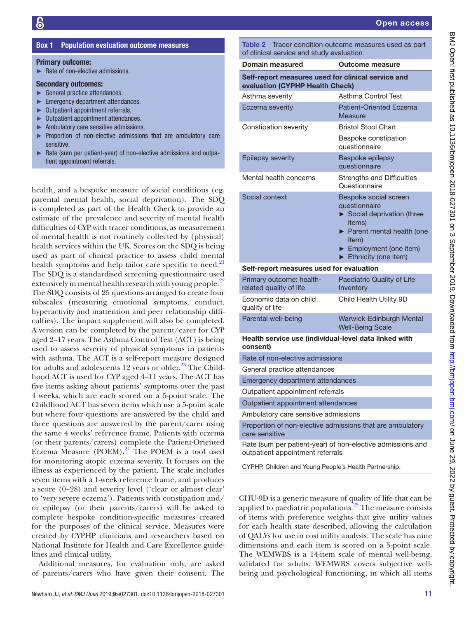# Box 1 Population evaluation outcome measures

# <span id="page-10-0"></span>Primary outcome:

► Rate of non-elective admissions.

# Secondary outcomes:

- ► General practice attendances.
- ► Emergency department attendances.
- ► Outpatient appointment referrals.
- ► Outpatient appointment attendances.
- ► Ambulatory care sensitive admissions.
- ► Proportion of non-elective admissions that are ambulatory care sensitive.
- ► Rate (sum per patient-year) of non-elective admissions and outpatient appointment referrals.

health, and a bespoke measure of social conditions (eg, parental mental health, social deprivation). The SDQ is completed as part of the Health Check to provide an estimate of the prevalence and severity of mental health difficulties of CYP with tracer conditions, as measurement of mental health is not routinely collected by (physical) health services within the UK. Scores on the SDQ is being used as part of clinical practice to assess child mental health symptoms and help tailor care specific to need. $^{21}$ The SDQ is a standardised screening questionnaire used extensively in mental health research with young people.<sup>[22](#page-12-14)</sup> The SDQ consists of 25 questions arranged to create four subscales (measuring emotional symptoms, conduct, hyperactivity and inattention and peer relationship difficulties). The impact supplement will also be completed. A version can be completed by the parent/carer for CYP aged 2–17 years. The Asthma Control Test (ACT) is being used to assess severity of physical symptoms in patients with asthma. The ACT is a self-report measure designed for adults and adolescents 12 years or older.<sup>23</sup> The Childhood ACT is used for CYP aged 4–11 years. The ACT has five items asking about patients' symptoms over the past 4 weeks, which are each scored on a 5-point scale. The Childhood ACT has seven items which use a 5-point scale but where four questions are answered by the child and three questions are answered by the parent/carer using the same 4 weeks' reference frame. Patients with eczema (or their parents/carers) complete the Patient-Oriented Eczema Measure (POEM). $^{24}$  The POEM is a tool used for monitoring atopic eczema severity. It focuses on the illness as experienced by the patient. The scale includes seven items with a 1-week reference frame, and produces a score (0–28) and severity level ('clear or almost clear' to 'very severe eczema'). Patients with constipation and/ or epilepsy (or their parents/carers) will be asked to complete bespoke condition-specific measures created for the purposes of the clinical service. Measures were created by CYPHP clinicians and researchers based on National Institute for Health and Care Excellence guidelines and clinical utility.

Additional measures, for evaluation only, are asked of parents/carers who have given their consent. The

<span id="page-10-1"></span>Table 2 Tracer condition outcome measures used as part of clinical service and study evaluation

| Domain measured                                                                                | <b>Outcome measure</b>                                                                                                                                                                       |
|------------------------------------------------------------------------------------------------|----------------------------------------------------------------------------------------------------------------------------------------------------------------------------------------------|
| Self-report measures used for clinical service and<br>evaluation (CYPHP Health Check)          |                                                                                                                                                                                              |
| Asthma severity                                                                                | Asthma Control Test                                                                                                                                                                          |
| Eczema severity                                                                                | Patient-Oriented Eczema<br><b>Measure</b>                                                                                                                                                    |
| Constipation severity                                                                          | <b>Bristol Stool Chart</b><br>Bespoke constipation<br>questionnaire                                                                                                                          |
| <b>Epilepsy severity</b>                                                                       | Bespoke epilepsy<br>questionnaire                                                                                                                                                            |
| Mental health concerns                                                                         | <b>Strengths and Difficulties</b><br>Questionnaire                                                                                                                                           |
| Social context                                                                                 | Bespoke social screen<br>questionnaire<br>Social deprivation (three<br>items)<br>▶ Parent mental health (one<br>item)<br>Employment (one item)<br>$\blacktriangleright$ Ethnicity (one item) |
| Self-report measures used for evaluation                                                       |                                                                                                                                                                                              |
| Primary outcome: health-<br>related quality of life                                            | Paediatric Quality of Life<br>Inventory                                                                                                                                                      |
| Economic data on child<br>quality of life                                                      | Child Health Utility 9D                                                                                                                                                                      |
| Parental well-being                                                                            | Warwick-Edinburgh Mental<br><b>Well-Being Scale</b>                                                                                                                                          |
| Health service use (individual-level data linked with<br>consent)                              |                                                                                                                                                                                              |
| Rate of non-elective admissions                                                                |                                                                                                                                                                                              |
| General practice attendances                                                                   |                                                                                                                                                                                              |
| <b>Emergency department attendances</b>                                                        |                                                                                                                                                                                              |
| Outpatient appointment referrals                                                               |                                                                                                                                                                                              |
| Outpatient appointment attendances                                                             |                                                                                                                                                                                              |
| Ambulatory care sensitive admissions                                                           |                                                                                                                                                                                              |
| Proportion of non-elective admissions that are ambulatory<br>care sensitive                    |                                                                                                                                                                                              |
| Rate (sum per patient-year) of non-elective admissions and<br>outpatient appointment referrals |                                                                                                                                                                                              |
|                                                                                                |                                                                                                                                                                                              |

CYPHP, Children and Young People's Health Partnership.

CHU-9D is a generic measure of quality of life that can be applied to paediatric populations. $25$  The measure consists of items with preference weights that give utility values for each health state described, allowing the calculation of QALYs for use in cost utility analysis. The scale has nine dimensions and each item is scored on a 5-point scale. The WEMWBS is a 14-item scale of mental well-being, validated for adults. WEMWBS covers subjective wellbeing and psychological functioning, in which all items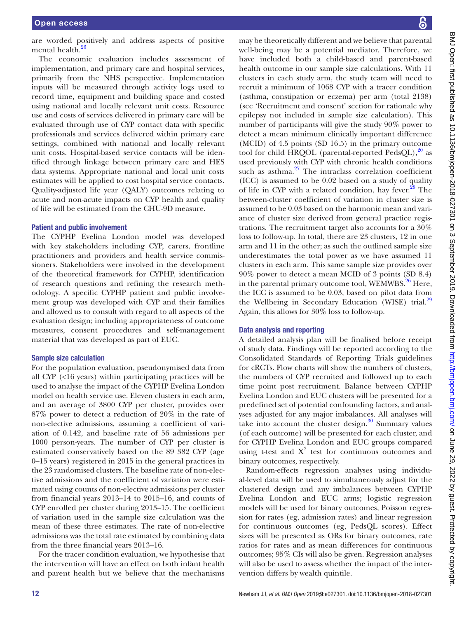are worded positively and address aspects of positive mental health.<sup>[26](#page-12-18)</sup>

The economic evaluation includes assessment of implementation, and primary care and hospital services, primarily from the NHS perspective. Implementation inputs will be measured through activity logs used to record time, equipment and building space and costed using national and locally relevant unit costs. Resource use and costs of services delivered in primary care will be evaluated through use of CYP contact data with specific professionals and services delivered within primary care settings, combined with national and locally relevant unit costs. Hospital-based service contacts will be identified through linkage between primary care and HES data systems. Appropriate national and local unit costs estimates will be applied to cost hospital service contacts. Quality-adjusted life year (QALY) outcomes relating to acute and non-acute impacts on CYP health and quality of life will be estimated from the CHU-9D measure.

## Patient and public involvement

The CYPHP Evelina London model was developed with key stakeholders including CYP, carers, frontline practitioners and providers and health service commissioners. Stakeholders were involved in the development of the theoretical framework for CYPHP, identification of research questions and refining the research methodology. A specific CYPHP patient and public involvement group was developed with CYP and their families and allowed us to consult with regard to all aspects of the evaluation design; including appropriateness of outcome measures, consent procedures and self-management material that was developed as part of EUC.

#### Sample size calculation

For the population evaluation, pseudonymised data from all CYP (<16 years) within participating practices will be used to analyse the impact of the CYPHP Evelina London model on health service use. Eleven clusters in each arm, and an average of 3800 CYP per cluster, provides over 87% power to detect a reduction of 20% in the rate of non-elective admissions, assuming a coefficient of variation of 0.142, and baseline rate of 56 admissions per 1000 person-years. The number of CYP per cluster is estimated conservatively based on the 89 382 CYP (age 0–15 years) registered in 2015 in the general practices in the 23 randomised clusters. The baseline rate of non-elective admissions and the coefficient of variation were estimated using counts of non-elective admissions per cluster from financial years 2013–14 to 2015–16, and counts of CYP enrolled per cluster during 2013–15. The coefficient of variation used in the sample size calculation was the mean of these three estimates. The rate of non-elective admissions was the total rate estimated by combining data from the three financial years 2013–16.

For the tracer condition evaluation, we hypothesise that the intervention will have an effect on both infant health and parent health but we believe that the mechanisms

may be theoretically different and we believe that parental well-being may be a potential mediator. Therefore, we have included both a child-based and parent-based health outcome in our sample size calculations. With 11 clusters in each study arm, the study team will need to recruit a minimum of 1068 CYP with a tracer condition (asthma, constipation or eczema) per arm (total 2138) (see 'Recruitment and consent' section for rationale why epilepsy not included in sample size calculation). This number of participants will give the study 90% power to detect a mean minimum clinically important difference (MCID) of 4.5 points (SD 16.5) in the primary outcome tool for child HRQOL (parental-reported PedsQL), $^{20}$  as used previously with CYP with chronic health conditions such as asthma.<sup>27</sup> The intraclass correlation coefficient (ICC) is assumed to be 0.02 based on a study of quality of life in CYP with a related condition, hay fever.<sup>[28](#page-12-20)</sup> The between-cluster coefficient of variation in cluster size is assumed to be 0.03 based on the harmonic mean and variance of cluster size derived from general practice registrations. The recruitment target also accounts for a 30% loss to follow-up. In total, there are 23 clusters, 12 in one arm and 11 in the other; as such the outlined sample size underestimates the total power as we have assumed 11 clusters in each arm. This same sample size provides over 90% power to detect a mean MCID of 3 points (SD 8.4) in the parental primary outcome tool, WEMWBS. $^{26}$  Here, the ICC is assumed to be 0.03, based on pilot data from the Wellbeing in Secondary Education (WISE) trial.<sup>[29](#page-13-0)</sup> Again, this allows for 30% loss to follow-up.

## Data analysis and reporting

A detailed analysis plan will be finalised before receipt of study data. Findings will be reported according to the Consolidated Standards of Reporting Trials guidelines for cRCTs. Flow charts will show the numbers of clusters, the numbers of CYP recruited and followed up to each time point post recruitment. Balance between CYPHP Evelina London and EUC clusters will be presented for a predefined set of potential confounding factors, and analyses adjusted for any major imbalances. All analyses will take into account the cluster design. $30$  Summary values (of each outcome) will be presented for each cluster, and for CYPHP Evelina London and EUC groups compared using t-test and  $X^2$  test for continuous outcomes and binary outcomes, respectively.

Random-effects regression analyses using individual-level data will be used to simultaneously adjust for the clustered design and any imbalances between CYPHP Evelina London and EUC arms; logistic regression models will be used for binary outcomes, Poisson regression for rates (eg, admission rates) and linear regression for continuous outcomes (eg, PedsQL scores). Effect sizes will be presented as ORs for binary outcomes, rate ratios for rates and as mean differences for continuous outcomes; 95% CIs will also be given. Regression analyses will also be used to assess whether the impact of the intervention differs by wealth quintile.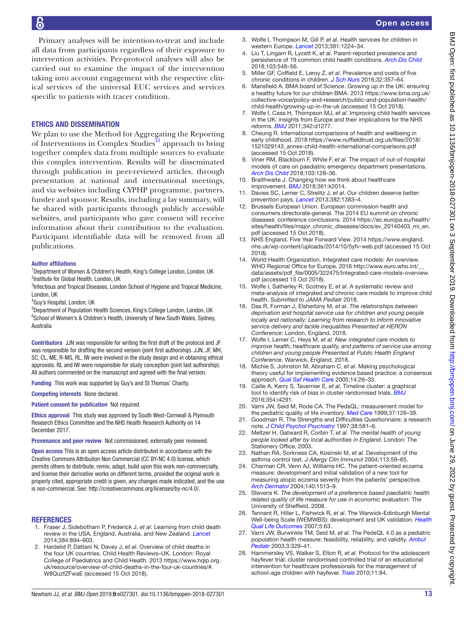Primary analyses will be intention-to-treat and include all data from participants regardless of their exposure to intervention activities. Per-protocol analyses will also be carried out to examine the impact of the intervention taking into account engagement with the respective clinical services of the universal EUC services and services specific to patients with tracer condition.

## Ethics and dissemination

We plan to use the Method for Aggregating the Reporting of Interventions in Complex Studies<sup>31</sup> approach to bring together complex data from multiple sources to evaluate this complex intervention. Results will be disseminated through publication in peer-reviewed articles, through presentation at national and international meetings, and via websites including CYPHP programme, partners, funder and sponsor. Results, including a lay summary, will be shared with participants through publicly accessible websites, and participants who gave consent will receive information about their contribution to the evaluation. Participant identifiable data will be removed from all publications.

#### Author affiliations

<sup>1</sup>Department of Women & Children's Health, King's College London, London, UK <sup>2</sup>Institute for Global Health, London, UK

<sup>3</sup>Infectious and Tropical Diseases, London School of Hygiene and Tropical Medicine, London, UK

4 Guy's Hospital, London, UK

<sup>5</sup>Department of Population Health Sciences, King's College London, London, UK <sup>6</sup>School of Women's & Children's Health, University of New South Wales, Sydney, Australia

Contributors JJN was responsible for writing the first draft of the protocol and JF was responsible for drafting the second version (joint first authorship). JJN, JF, MH, SC, CL, ME, R-MS, RL, IW were involved in the study design and in obtaining ethical approvals. RL and IW were responsible for study conception (joint last authorship). All authors commented on the manuscript and agreed with the final version.

Funding This work was supported by Guy's and St Thomas' Charity.

Competing interests None declared.

Patient consent for publication Not required.

Ethics approval This study was approved by South West-Cornwall & Plymouth Research Ethics Committee and the NHS Health Research Authority on 14 December 2017.

Provenance and peer review Not commissioned; externally peer reviewed.

Open access This is an open access article distributed in accordance with the Creative Commons Attribution Non Commercial (CC BY-NC 4.0) license, which permits others to distribute, remix, adapt, build upon this work non-commercially, and license their derivative works on different terms, provided the original work is properly cited, appropriate credit is given, any changes made indicated, and the use is non-commercial. See: <http://creativecommons.org/licenses/by-nc/4.0/>.

#### **REFERENCES**

- <span id="page-12-0"></span>1. Fraser J, Sidebotham P, Frederick J, *et al*. Learning from child death review in the USA, England, Australia, and New Zealand. *[Lancet](http://dx.doi.org/10.1016/S0140-6736(13)61089-2)* 2014;384:894–903.
- <span id="page-12-1"></span>2. Hardelid P, Dattani N, Davey J, *et al*. Overview of child deaths in the four UK countries. Child Health Reviews–UK. London: Royal College of Paediatrics and Child Health. 2013 [https://www.hqip.org.](https://www.hqip.org.uk/resource/overview-of-child-deaths-in-the-four-uk-countries/#.W8QuzfZFwaE) [uk/resource/overview-of-child-deaths-in-the-four-uk-countries/#.](https://www.hqip.org.uk/resource/overview-of-child-deaths-in-the-four-uk-countries/#.W8QuzfZFwaE) [W8QuzfZFwaE](https://www.hqip.org.uk/resource/overview-of-child-deaths-in-the-four-uk-countries/#.W8QuzfZFwaE) (accessed 15 Oct 2018).
- <span id="page-12-2"></span>3. Wolfe I, Thompson M, Gill P, *et al*. Health services for children in western Europe. *[Lancet](http://dx.doi.org/10.1016/S0140-6736(12)62085-6)* 2013;381:1224–34.
- <span id="page-12-3"></span>4. Liu T, Lingam R, Lycett K, *et al*. Parent-reported prevalence and persistence of 19 common child health conditions. *[Arch Dis Child](http://dx.doi.org/10.1136/archdischild-2017-313191)* 2018;103:548–56.
- 5. Miller GF, Coffield E, Leroy Z, *et al*. Prevalence and costs of five chronic conditions in children. *[J Sch Nurs](http://dx.doi.org/10.1177/1059840516641190)* 2016;32:357–64.
- <span id="page-12-4"></span>Mansfield A. BMA board of Science. Growing up in the UK: ensuring a healthy future for our children BMA. 2013 [https://www.bma.org.uk/](https://www.bma.org.uk/collective-voice/policy-and-research/public-and-population-health/child-health/growing-up-in-the-uk) [collective-voice/policy-and-research/public-and-population-health/](https://www.bma.org.uk/collective-voice/policy-and-research/public-and-population-health/child-health/growing-up-in-the-uk) [child-health/growing-up-in-the-uk](https://www.bma.org.uk/collective-voice/policy-and-research/public-and-population-health/child-health/growing-up-in-the-uk) (accessed 15 Oct 2018).
- <span id="page-12-5"></span>7. Wolfe I, Cass H, Thompson MJ, *et al*. Improving child health services in the UK: insights from Europe and their implications for the NHS reforms. *[BMJ](http://dx.doi.org/10.1136/bmj.d1277)* 2011;342:d1277.
- 8. Cheung R. International comparisons of health and wellbeing in early childhood. 2018 [https://www.nuffieldtrust.org.uk/files/2018/](https://www.nuffieldtrust.org.uk/files/2018/1521029143_annex-child-health-international-comparisons.pdf) [1521029143\\_annex-child-health-international-comparisons.pdf](https://www.nuffieldtrust.org.uk/files/2018/1521029143_annex-child-health-international-comparisons.pdf) (accessed 15 Oct 2018).
- 9. Viner RM, Blackburn F, White F, *et al*. The impact of out-of-hospital models of care on paediatric emergency department presentations. *[Arch Dis Child](http://dx.doi.org/10.1136/archdischild-2017-313307)* 2018;103:128–36.
- <span id="page-12-6"></span>10. Braithwaite J. Changing how we think about healthcare improvement. *[BMJ](http://dx.doi.org/10.1136/bmj.k2014)* 2018;361:k2014.
- 11. Davies SC, Lemer C, Strelitz J, *et al*. Our children deserve better: prevention pays. *[Lancet](http://dx.doi.org/10.1016/S0140-6736(13)62004-8)* 2013;382:1383–4.
- 12. Brussels European Union. European commission health and consumers directorate‐general. The 2014 EU summit on chronic diseases: conference conclusions. 2014 [https://ec.europa.eu/health/](https://ec.europa.eu/health/sites/health/files/major_chronic_diseases/docs/ev_20140403_mi_en.pdf) [sites/health/files/major\\_chronic\\_diseases/docs/ev\\_20140403\\_mi\\_en.](https://ec.europa.eu/health/sites/health/files/major_chronic_diseases/docs/ev_20140403_mi_en.pdf) [pdf](https://ec.europa.eu/health/sites/health/files/major_chronic_diseases/docs/ev_20140403_mi_en.pdf) (accessed 15 Oct 2018).
- 13. NHS England. Five Year Forward View. 2014 [https://www.england.](https://www.england.nhs.uk/wp-content/uploads/2014/10/5yfv-web.pdf) [nhs.uk/wp-content/uploads/2014/10/5yfv-web.pdf](https://www.england.nhs.uk/wp-content/uploads/2014/10/5yfv-web.pdf) (accessed 15 Oct 2018).
- <span id="page-12-7"></span>14. World Health Organization. Integrated care models: An overview. WHO Regional Office for Europe. 2016 http://www.euro.who.int/ [data/assets/pdf\\_file/0005/322475/Integrated-care-models-overview.](http://www.euro.who.int/__data/assets/pdf_file/0005/322475/Integrated-care-models-overview.pdf) [pdf](http://www.euro.who.int/__data/assets/pdf_file/0005/322475/Integrated-care-models-overview.pdf) (accessed 15 Oct 2018).
- 15. Wolfe I, Satherley R, Scotney E, *et al*. A systematic review and meta-analysis of integrated and chronic care models to improve child health. *Submitted to JAMA Pediatr* 2018.
- <span id="page-12-8"></span>16. Das R, Forman J, Elsherbiny M, *et al*. *The relationships between deprivation and hospital service use for children and young people locally and nationally: Learning from research to inform innovative service delivery and tackle inequalities Presented at HERON Conference*: London, England, 2018.
- <span id="page-12-9"></span>17. Wolfe I, Lemer C, Heys M, *et al*. *New integrated care models to improve health, healthcare quality, and patterns of service use among children and young people Presented at Public Health England Conference*. Warwick, England, 2018.
- <span id="page-12-10"></span>18. Michie S, Johnston M, Abraham C, *et al*. Making psychological theory useful for implementing evidence based practice: a consensus approach. *[Qual Saf Health Care](http://dx.doi.org/10.1136/qshc.2004.011155)* 2005;14:26–33.
- <span id="page-12-11"></span>19. Caille A, Kerry S, Tavernier E, *et al*. Timeline cluster: a graphical tool to identify risk of bias in cluster randomised trials. *[BMJ](http://dx.doi.org/10.1136/bmj.i4291)* 2016;354:i4291.
- <span id="page-12-12"></span>20. Varni JW, Seid M, Rode CA. The PedsQL: measurement model for the pediatric quality of life inventory. *[Med Care](http://dx.doi.org/10.1097/00005650-199902000-00003)* 1999;37:126–39.
- <span id="page-12-13"></span>21. Goodman R. The Strengths and Difficulties Questionnaire: a research note. *[J Child Psychol Psychiatry](http://dx.doi.org/10.1111/j.1469-7610.1997.tb01545.x)* 1997;38:581–6.
- <span id="page-12-14"></span>22. Meltzer H, Gatward R, Corbin T, *et al*. *The mental health of young people looked after by local authorities in England*. London: The Stationery Office, 2003.
- <span id="page-12-15"></span>23. Nathan RA, Sorkness CA, Kosinski M, *et al*. Development of the asthma control test. *J Allergy Clin Immunol* 2004;113:59–65.
- <span id="page-12-16"></span>24. Charman CR, Venn AJ, Williams HC. The patient-oriented eczema measure: development and initial validation of a new tool for measuring atopic eczema severity from the patients' perspective. *[Arch Dermatol](http://dx.doi.org/10.1001/archderm.140.12.1513)* 2004;140:1513–9.
- <span id="page-12-17"></span>25. Stevens K. *The development of a preference based paediatric health related quality of life measure for use in economic evaluation*: The University of Sheffield, 2008.
- <span id="page-12-18"></span>26. Tennant R, Hiller L, Fishwick R, *et al*. The Warwick-Edinburgh Mental Well-being Scale (WEMWBS): development and UK validation. *[Health](http://dx.doi.org/10.1186/1477-7525-5-63)  [Qual Life Outcomes](http://dx.doi.org/10.1186/1477-7525-5-63)* 2007;5:63.
- <span id="page-12-19"></span>27. Varni JW, Burwinkle TM, Seid M, *et al*. The PedsQL 4.0 as a pediatric population health measure: feasibility, reliability, and validity. *[Ambul](http://dx.doi.org/10.1367/1539-4409(2003)003<0329:TPAAPP>2.0.CO;2)  [Pediatr](http://dx.doi.org/10.1367/1539-4409(2003)003<0329:TPAAPP>2.0.CO;2)* 2003;3:329–41.
- <span id="page-12-20"></span>28. Hammersley VS, Walker S, Elton R, *et al*. Protocol for the adolescent hayfever trial: cluster randomised controlled trial of an educational intervention for healthcare professionals for the management of school-age children with hayfever. *[Trials](http://dx.doi.org/10.1186/1745-6215-11-84)* 2010;11:84.